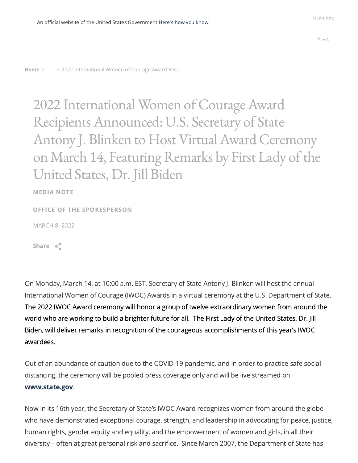[Home](https://www.state.gov/) > ... > 2022 International Women of Courage Award Reci...

2022 International Women of Courage Award Recipients Announced: U.S. Secretary of State Antony J. Blinken to Host Virtual Award Ceremony on March 14, Featuring Remarks by First Lady of the United States, Dr.Jill Biden

MEDIA NOTE

OFFICE OF THE [SPOKESPERSON](https://www.state.gov/bureaus-offices/under-secretary-for-public-diplomacy-and-public-affairs/bureau-of-global-public-affairs/office-of-the-spokesperson/)

MARCH 8, 2022

Share  $\leq$ 

On Monday, March 14, at 10:00 a.m. EST, Secretary of State Antony J. Blinken will host the annual International Women of Courage (IWOC) Awards in a virtual ceremony at the U.S. Department of State. The 2022 IWOC Award ceremony will honor a group of twelve extraordinary women from around the world who are working to build a brighter future for all. The First Lady of the United States, Dr. Jill Biden, will deliver remarks in recognition of the courageous accomplishments of this year's IWOC awardees.

Out of an abundance of caution due to the COVID-19 pandemic, and in order to practice safe social distancing, the ceremony will be pooled press coverage only and will be live streamed on [www.state.gov.](http://www.state.gov/)

Now in its 16th year, the Secretary of State's IWOC Award recognizes women from around the globe who have demonstrated exceptional courage, strength, and leadership in advocating for peace, justice, human rights, gender equity and equality, and the empowerment of women and girls, in all their diversity – often at great personal risk and sacrifice. Since March 2007, the Department of State has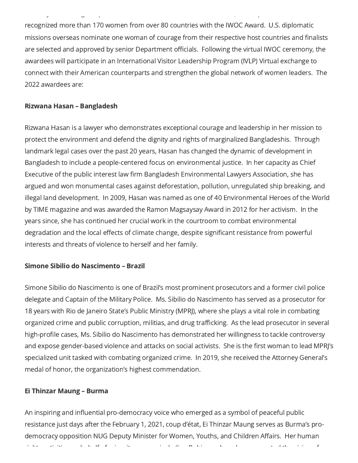recognized more than 170 women from over 80 countries with the IWOC Award. U.S. diplomatic missions overseas nominate one woman of courage from their respective host countries and finalists are selected and approved by senior Department officials. Following the virtual IWOC ceremony, the awardees will participate in an International Visitor Leadership Program (IVLP) Virtual exchange to connect with their American counterparts and strengthen the global network of women leaders. The 2022 awardees are:

y g p , p

#### Rizwana Hasan – Bangladesh

Rizwana Hasan is a lawyer who demonstrates exceptional courage and leadership in her mission to protect the environment and defend the dignity and rights of marginalized Bangladeshis. Through landmark legal cases over the past 20 years, Hasan has changed the dynamic of development in Bangladesh to include a people-centered focus on environmental justice. In her capacity as Chief Executive of the public interest law firm Bangladesh Environmental Lawyers Association, she has argued and won monumental cases against deforestation, pollution, unregulated ship breaking, and illegal land development. In 2009, Hasan was named as one of 40 Environmental Heroes of the World by TIME magazine and was awarded the Ramon Magsaysay Award in 2012 for her activism. In the years since, she has continued her crucial work in the courtroom to combat environmental degradation and the local effects of climate change, despite significant resistance from powerful interests and threats of violence to herself and her family.

## Simone Sibilio do Nascimento – Brazil

Simone Sibilio do Nascimento is one of Brazil's most prominent prosecutors and a former civil police delegate and Captain of the Military Police. Ms. Sibilio do Nascimento has served as a prosecutor for 18 years with Rio de Janeiro State's Public Ministry (MPRJ), where she plays a vital role in combating organized crime and public corruption, militias, and drug trafficking. As the lead prosecutor in several high-profile cases, Ms. Sibilio do Nascimento has demonstrated her willingness to tackle controversy and expose gender-based violence and attacks on social activists. She is the first woman to lead MPRJ's specialized unit tasked with combating organized crime. In 2019, she received the Attorney General's medal of honor, the organization's highest commendation.

#### Ei Thinzar Maung – Burma

An inspiring and influential pro-democracy voice who emerged as a symbol of peaceful public resistance just days after the February 1, 2021, coup d'état, Ei Thinzar Maung serves as Burma's prodemocracy opposition NUG Deputy Minister for Women, Youths, and Children Affairs. Her human

i ht ti iti i l ti it it i di R h l ti i di R hi h l t di R h l t di R h l t di R h l t di R h l t di R h l t<br>T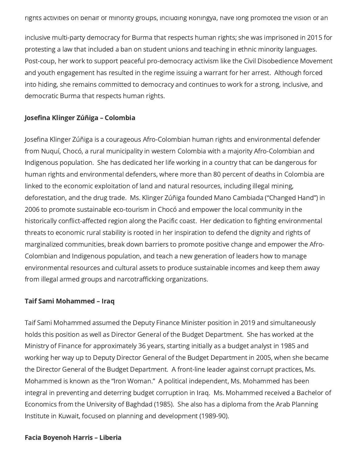inclusive multi-party democracy for Burma that respects human rights; she was imprisoned in 2015 for protesting a law that included a ban on student unions and teaching in ethnic minority languages. Post-coup, her work to support peaceful pro-democracy activism like the Civil Disobedience Movement and youth engagement has resulted in the regime issuing a warrant for her arrest. Although forced into hiding, she remains committed to democracy and continues to work for a strong, inclusive, and democratic Burma that respects human rights.

## Josefina Klinger Zúñiga – Colombia

Josefina Klinger Zúñiga is a courageous Afro-Colombian human rights and environmental defender from Nuquí, Chocó, a rural municipality in western Colombia with a majority Afro-Colombian and Indigenous population. She has dedicated her life working in a country that can be dangerous for human rights and environmental defenders, where more than 80 percent of deaths in Colombia are linked to the economic exploitation of land and natural resources, including illegal mining, deforestation, and the drug trade. Ms. Klinger Zúñiga founded Mano Cambiada ("Changed Hand") in 2006 to promote sustainable eco-tourism in Chocó and empower the local community in the historically conflict-affected region along the Pacific coast. Her dedication to fighting environmental threats to economic rural stability is rooted in her inspiration to defend the dignity and rights of marginalized communities, break down barriers to promote positive change and empower the Afro-Colombian and Indigenous population, and teach a new generation of leaders how to manage environmental resources and cultural assets to produce sustainable incomes and keep them away from illegal armed groups and narcotrafficking organizations.

#### Taif Sami Mohammed – Iraq

Taif Sami Mohammed assumed the Deputy Finance Minister position in 2019 and simultaneously holds this position as well as Director General of the Budget Department. She has worked at the Ministry of Finance for approximately 36 years, starting initially as a budget analyst in 1985 and working her way up to Deputy Director General of the Budget Department in 2005, when she became the Director General of the Budget Department. A front-line leader against corrupt practices, Ms. Mohammed is known as the "Iron Woman." A political independent, Ms. Mohammed has been integral in preventing and deterring budget corruption in Iraq. Ms. Mohammed received a Bachelor of Economics from the University of Baghdad (1985). She also has a diploma from the Arab Planning Institute in Kuwait, focused on planning and development (1989-90).

#### Facia Boyenoh Harris – Liberia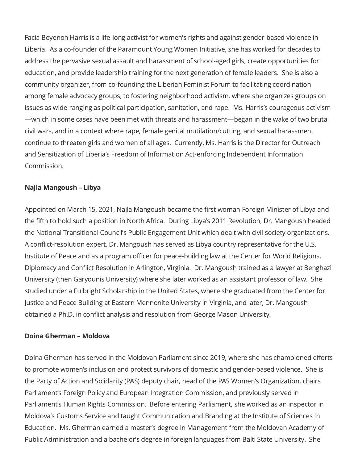Facia Boyenoh Harris is a life-long activist for women's rights and against gender-based violence in Liberia. As a co-founder of the Paramount Young Women Initiative, she has worked for decades to address the pervasive sexual assault and harassment of school-aged girls, create opportunities for education, and provide leadership training for the next generation of female leaders. She is also a community organizer, from co-founding the Liberian Feminist Forum to facilitating coordination among female advocacy groups, to fostering neighborhood activism, where she organizes groups on issues as wide-ranging as political participation, sanitation, and rape. Ms. Harris's courageous activism —which in some cases have been met with threats and harassment—began in the wake of two brutal civil wars, and in a context where rape, female genital mutilation/cutting, and sexual harassment continue to threaten girls and women of all ages. Currently, Ms. Harris is the Director for Outreach and Sensitization of Liberia's Freedom of Information Act-enforcing Independent Information Commission.

## Najla Mangoush – Libya

Appointed on March 15, 2021, Najla Mangoush became the first woman Foreign Minister of Libya and the fifth to hold such a position in North Africa. During Libya's 2011 Revolution, Dr. Mangoush headed the National Transitional Council's Public Engagement Unit which dealt with civil society organizations. A conflict-resolution expert, Dr. Mangoush has served as Libya country representative for the U.S. Institute of Peace and as a program officer for peace-building law at the Center for World Religions, Diplomacy and Conflict Resolution in Arlington, Virginia. Dr. Mangoush trained as a lawyer at Benghazi University (then Garyounis University) where she later worked as an assistant professor of law. She studied under a Fulbright Scholarship in the United States, where she graduated from the Center for Justice and Peace Building at Eastern Mennonite University in Virginia, and later, Dr. Mangoush obtained a Ph.D. in conflict analysis and resolution from George Mason University.

## Doina Gherman – Moldova

Doina Gherman has served in the Moldovan Parliament since 2019, where she has championed efforts to promote women's inclusion and protect survivors of domestic and gender-based violence. She is the Party of Action and Solidarity (PAS) deputy chair, head of the PAS Women's Organization, chairs Parliament's Foreign Policy and European Integration Commission, and previously served in Parliament's Human Rights Commission. Before entering Parliament, she worked as an inspector in Moldova's Customs Service and taught Communication and Branding at the Institute of Sciences in Education. Ms. Gherman earned a master's degree in Management from the Moldovan Academy of Public Administration and a bachelor's degree in foreign languages from Balti State University. She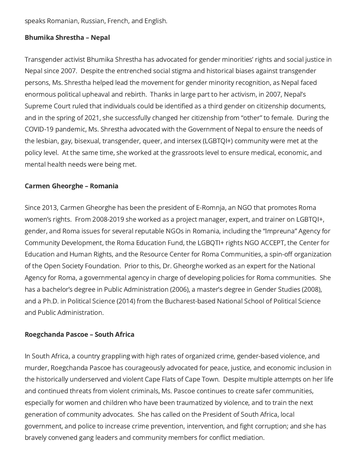speaks Romanian, Russian, French, and English.

## Bhumika Shrestha – Nepal

Transgender activist Bhumika Shrestha has advocated for gender minorities' rights and social justice in Nepal since 2007. Despite the entrenched social stigma and historical biases against transgender persons, Ms. Shrestha helped lead the movement for gender minority recognition, as Nepal faced enormous political upheaval and rebirth. Thanks in large part to her activism, in 2007, Nepal's Supreme Court ruled that individuals could be identified as a third gender on citizenship documents, and in the spring of 2021, she successfully changed her citizenship from "other" to female. During the COVID-19 pandemic, Ms. Shrestha advocated with the Government of Nepal to ensure the needs of the lesbian, gay, bisexual, transgender, queer, and intersex (LGBTQI+) community were met at the policy level. At the same time, she worked at the grassroots level to ensure medical, economic, and mental health needs were being met.

## Carmen Gheorghe – Romania

Since 2013, Carmen Gheorghe has been the president of E-Romnja, an NGO that promotes Roma women's rights. From 2008-2019 she worked as a project manager, expert, and trainer on LGBTQI+, gender, and Roma issues for several reputable NGOs in Romania, including the "Impreuna" Agency for Community Development, the Roma Education Fund, the LGBQTI+ rights NGO ACCEPT, the Center for Education and Human Rights, and the Resource Center for Roma Communities, a spin-off organization of the Open Society Foundation. Prior to this, Dr. Gheorghe worked as an expert for the National Agency for Roma, a governmental agency in charge of developing policies for Roma communities. She has a bachelor's degree in Public Administration (2006), a master's degree in Gender Studies (2008), and a Ph.D. in Political Science (2014) from the Bucharest-based National School of Political Science and Public Administration.

## Roegchanda Pascoe – South Africa

In South Africa, a country grappling with high rates of organized crime, gender-based violence, and murder, Roegchanda Pascoe has courageously advocated for peace, justice, and economic inclusion in the historically underserved and violent Cape Flats of Cape Town. Despite multiple attempts on her life and continued threats from violent criminals, Ms. Pascoe continues to create safer communities, especially for women and children who have been traumatized by violence, and to train the next generation of community advocates. She has called on the President of South Africa, local government, and police to increase crime prevention, intervention, and fight corruption; and she has bravely convened gang leaders and community members for conflict mediation.